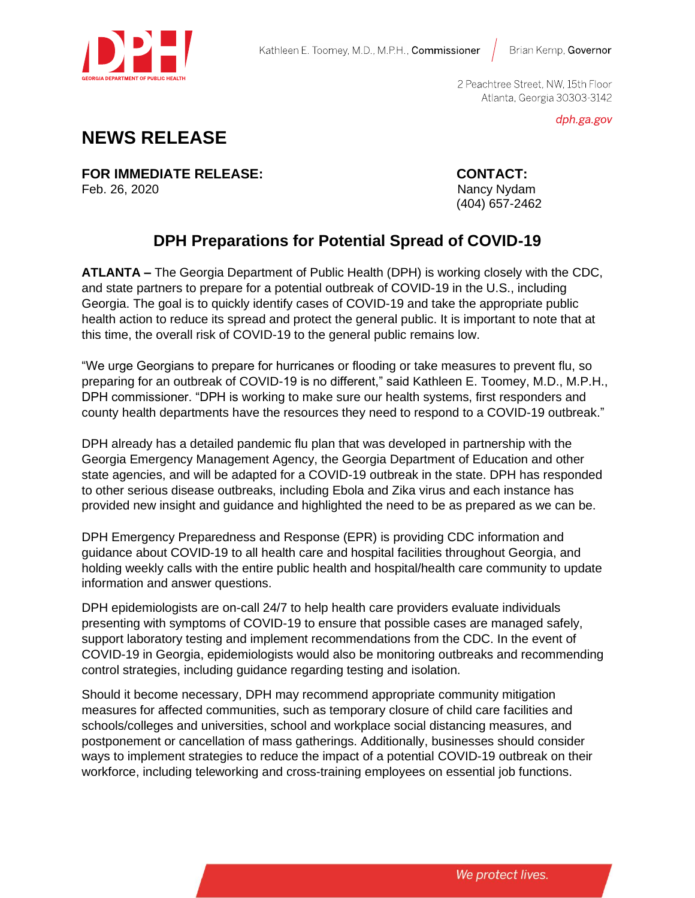

Brian Kemp, Governor

2 Peachtree Street, NW, 15th Floor Atlanta, Georgia 30303-3142

dph.ga.gov

## **NEWS RELEASE**

**FOR IMMEDIATE RELEASE: CONTACT:** Feb. 26, 2020 Nancy Nydam

(404) 657-2462

## **DPH Preparations for Potential Spread of COVID-19**

**ATLANTA –** The Georgia Department of Public Health (DPH) is working closely with the CDC, and state partners to prepare for a potential outbreak of COVID-19 in the U.S., including Georgia. The goal is to quickly identify cases of COVID-19 and take the appropriate public health action to reduce its spread and protect the general public. It is important to note that at this time, the overall risk of COVID-19 to the general public remains low.

"We urge Georgians to prepare for hurricanes or flooding or take measures to prevent flu, so preparing for an outbreak of COVID-19 is no different," said Kathleen E. Toomey, M.D., M.P.H., DPH commissioner. "DPH is working to make sure our health systems, first responders and county health departments have the resources they need to respond to a COVID-19 outbreak."

DPH already has a detailed pandemic flu plan that was developed in partnership with the Georgia Emergency Management Agency, the Georgia Department of Education and other state agencies, and will be adapted for a COVID-19 outbreak in the state. DPH has responded to other serious disease outbreaks, including Ebola and Zika virus and each instance has provided new insight and guidance and highlighted the need to be as prepared as we can be.

DPH Emergency Preparedness and Response (EPR) is providing CDC information and guidance about COVID-19 to all health care and hospital facilities throughout Georgia, and holding weekly calls with the entire public health and hospital/health care community to update information and answer questions.

DPH epidemiologists are on-call 24/7 to help health care providers evaluate individuals presenting with symptoms of COVID-19 to ensure that possible cases are managed safely, support laboratory testing and implement recommendations from the CDC. In the event of COVID-19 in Georgia, epidemiologists would also be monitoring outbreaks and recommending control strategies, including guidance regarding testing and isolation.

Should it become necessary, DPH may recommend appropriate community mitigation measures for affected communities, such as temporary closure of child care facilities and schools/colleges and universities, school and workplace social distancing measures, and postponement or cancellation of mass gatherings. Additionally, businesses should consider ways to implement strategies to reduce the impact of a potential COVID-19 outbreak on their workforce, including teleworking and cross-training employees on essential job functions.